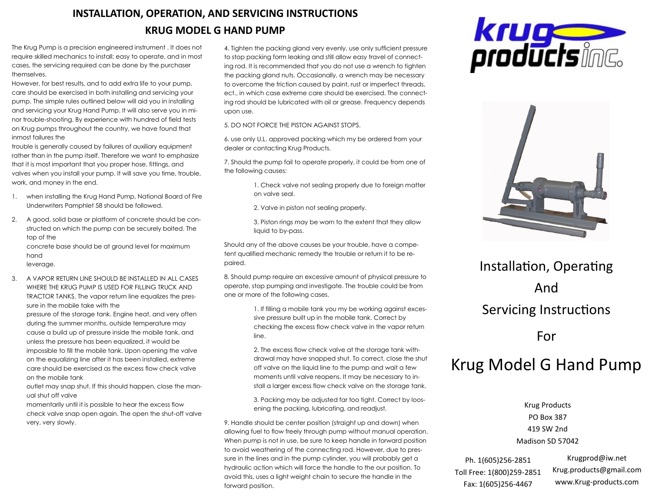## **INSTALLATION, OPERATION, AND SERVICING INSTRUCTIONS KRUG MODEL G HAND PUMP**

The Krug Pump is a precision engineered instrument . It does not require skilled mechanics to install; easy to operate, and in most cases, the servicing required can be done by the purchaser themselves.

However, for best results, and to add extra life to your pump, care should be exercised in both installing and servicing your pump. The simple rules outlined below will aid you in installing and servicing your Krug Hand Pump. It will also serve you in minor trouble-shooting. By experience with hundred of field tests on Krug pumps throughout the country, we have found that inmost failures the

trouble is generally caused by failures of auxiliary equipment rather than in the pump itself. Therefore we want to emphasize that it is most important that you proper hose, fittings, and valves when you install your pump. It will save you time, trouble, work, and money in the end.

- 1. when installing the Krug Hand Pump, National Board of Fire Underwriters Pamphlet 58 should be followed.
- 2. A good, solid base or platform of concrete should be constructed on which the pump can be securely bolted. The top of the concrete base should be at ground level for maximum

hand leverage.

3. A VAPOR RETURN LINE SHOULD BE INSTALLED IN ALL CASES WHERE THE KRUG PUMP IS USED FOR FILLING TRUCK AND TRACTOR TANKS. The vapor return line equalizes the pressure in the mobile take with the

pressure of the storage tank. Engine heat, and very often during the summer months, outside temperature may cause a build up of pressure inside the mobile tank, and unless the pressure has been equalized, it would be impossible to fill the mobile tank. Upon opening the valve on the equalizing line after it has been installed, extreme care should be exercised as the excess flow check valve on the mobile tank

outlet may snap shut. If this should happen, close the manual shut off valve

momentarily until it is possible to hear the excess flow check valve snap open again. The open the shut-off valve very, very slowly.

4. Tighten the packing gland very evenly, use only sufficient pressure to stop packing form leaking and still allow easy travel of connecting rod. It is recommended that you do not use a wrench to tighten the packing gland nuts. Occasionally, a wrench may be necessary to overcome the friction caused by paint, rust or imperfect threads, ect., in which case extreme care should be exercised. The connecting rod should be lubricated with oil or grease. Frequency depends upon use.

5. DO NOT FORCE THE PISTON AGAINST STOPS.

6. use only U.L. approved packing which my be ordered from your dealer or contacting Krug Products.

7. Should the pump fail to operate properly, it could be from one of the following causes:

> 1. Check valve not sealing properly due to foreign matter on valve seal.

2. Valve in piston not sealing properly.

3. Piston rings may be worn to the extent that they allow liquid to by-pass.

Should any of the above causes be your trouble, have a competent qualified mechanic remedy the trouble or return it to be repaired.

8. Should pump require an excessive amount of physical pressure to operate, stop pumping and investigate. The trouble could be from one or more of the following cases.

> 1. If filling a mobile tank you my be working against excessive pressure built up in the mobile tank. Correct by checking the excess flow check valve in the vapor return line.

2. The excess flow check valve at the storage tank withdrawal may have snapped shut. To correct, close the shut off valve on the liquid line to the pump and wait a few moments until valve reopens. It may be necessary to install a larger excess flow check valve on the storage tank.

3. Packing may be adjusted far too tight. Correct by loosening the packing, lubricating, and readjust.

9. Handle should be center position (straight up and down) when allowing fuel to flow freely through pump without manual operation. When pump is not in use, be sure to keep handle in forward position to avoid weathering of the connecting rod. However, due to pressure in the lines and in the pump cylinder, you will probably get a hydraulic action which will force the handle to the our position. To avoid this, uses a light weight chain to secure the handle in the forward position.





## Installation, Operating And Servicing Instructions

For

## Krug Model G Hand Pump

Krug Products PO Box 387 419 SW 2nd Madison SD 57042

Ph. 1(605)256-2851 Toll Free: 1(800)259-2851 Fax: 1(605)256-4467

Krugprod@iw.net Krug.products@gmail.com www.Krug-products.com